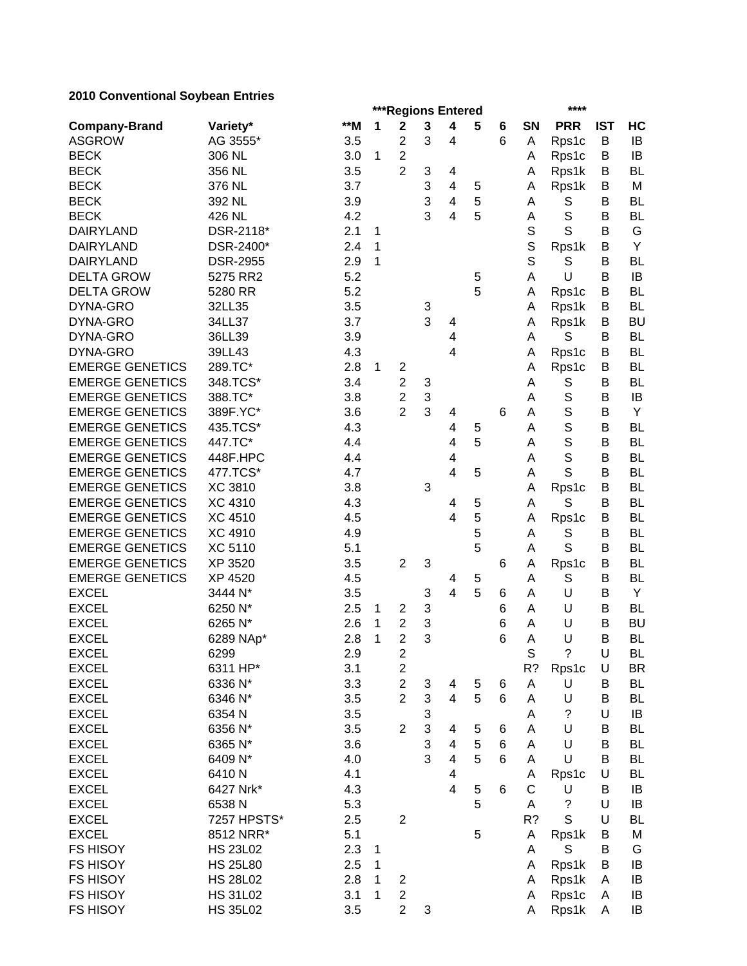|                        |                 |       |   | ***Regions Entered      |                           |                |   | ****            |              |             |            |           |
|------------------------|-----------------|-------|---|-------------------------|---------------------------|----------------|---|-----------------|--------------|-------------|------------|-----------|
| <b>Company-Brand</b>   | Variety*        | $**M$ | 1 | $\mathbf 2$             | 3                         | 4              | 5 | 6               | SN           | <b>PRR</b>  | <b>IST</b> | HC        |
| <b>ASGROW</b>          | AG 3555*        | 3.5   |   | 2                       | 3                         | 4              |   | 6               | A            | Rps1c       | В          | IB        |
| <b>BECK</b>            | 306 NL          | 3.0   | 1 | $\overline{c}$          |                           |                |   |                 | Α            | Rps1c       | В          | IB        |
| <b>BECK</b>            | 356 NL          | 3.5   |   | $\overline{2}$          | 3                         | 4              |   |                 | Α            | Rps1k       | В          | <b>BL</b> |
| <b>BECK</b>            | 376 NL          | 3.7   |   |                         | 3                         | 4              | 5 |                 | A            | Rps1k       | B          | M         |
| <b>BECK</b>            | 392 NL          | 3.9   |   |                         | 3                         | 4              | 5 |                 | A            | S           | B          | <b>BL</b> |
| <b>BECK</b>            | 426 NL          | 4.2   |   |                         | 3                         | 4              | 5 |                 | A            | S           | B          | <b>BL</b> |
| <b>DAIRYLAND</b>       | DSR-2118*       | 2.1   | 1 |                         |                           |                |   |                 | $\mathsf S$  | S           | B          | G         |
| <b>DAIRYLAND</b>       | DSR-2400*       | 2.4   | 1 |                         |                           |                |   |                 | S            | Rps1k       | B          | Υ         |
| <b>DAIRYLAND</b>       | <b>DSR-2955</b> | 2.9   | 1 |                         |                           |                |   |                 | S            | S           | B          | <b>BL</b> |
| <b>DELTA GROW</b>      | 5275 RR2        | 5.2   |   |                         |                           |                | 5 |                 | Α            | U           | B          | IB        |
| <b>DELTA GROW</b>      | 5280 RR         | 5.2   |   |                         |                           |                | 5 |                 | A            | Rps1c       | B          | <b>BL</b> |
| DYNA-GRO               | 32LL35          | 3.5   |   |                         | 3                         |                |   |                 | Α            | Rps1k       | В          | <b>BL</b> |
| DYNA-GRO               | 34LL37          | 3.7   |   |                         | 3                         | 4              |   |                 | Α            | Rps1k       | B          | <b>BU</b> |
| DYNA-GRO               | 36LL39          | 3.9   |   |                         |                           | 4              |   |                 | Α            | S           | B          | <b>BL</b> |
| DYNA-GRO               | 39LL43          | 4.3   |   |                         |                           | 4              |   |                 | A            | Rps1c       | B          | <b>BL</b> |
| <b>EMERGE GENETICS</b> | 289.TC*         | 2.8   | 1 | $\overline{\mathbf{c}}$ |                           |                |   |                 | Α            | Rps1c       | B          | <b>BL</b> |
| <b>EMERGE GENETICS</b> | 348.TCS*        | 3.4   |   | $\overline{c}$          | 3                         |                |   |                 | A            | S           | B          | <b>BL</b> |
| <b>EMERGE GENETICS</b> | 388.TC*         | 3.8   |   | $\overline{c}$          | $\ensuremath{\mathsf{3}}$ |                |   |                 | A            | S           | B          | IB        |
| <b>EMERGE GENETICS</b> | 389F.YC*        | 3.6   |   | $\overline{2}$          | 3                         | 4              |   | 6               | A            | S           | B          | Υ         |
| <b>EMERGE GENETICS</b> | 435.TCS*        | 4.3   |   |                         |                           | 4              | 5 |                 | A            | S           | B          | <b>BL</b> |
| <b>EMERGE GENETICS</b> | 447.TC*         | 4.4   |   |                         |                           | 4              | 5 |                 | A            | S           | B          | <b>BL</b> |
| <b>EMERGE GENETICS</b> | 448F.HPC        | 4.4   |   |                         |                           | 4              |   |                 | A            | S           | B          | <b>BL</b> |
| <b>EMERGE GENETICS</b> | 477.TCS*        | 4.7   |   |                         |                           | $\overline{4}$ | 5 |                 | Α            | S           | B          | <b>BL</b> |
| <b>EMERGE GENETICS</b> | <b>XC 3810</b>  | 3.8   |   |                         | 3                         |                |   |                 | A            | Rps1c       | B          | <b>BL</b> |
| <b>EMERGE GENETICS</b> | <b>XC 4310</b>  | 4.3   |   |                         |                           | 4              | 5 |                 | Α            | S           | B          | <b>BL</b> |
| <b>EMERGE GENETICS</b> | <b>XC 4510</b>  | 4.5   |   |                         |                           | 4              | 5 |                 | A            | Rps1c       | B          | <b>BL</b> |
| <b>EMERGE GENETICS</b> | <b>XC 4910</b>  | 4.9   |   |                         |                           |                | 5 |                 | A            | S           | B          | <b>BL</b> |
| <b>EMERGE GENETICS</b> | <b>XC 5110</b>  | 5.1   |   |                         |                           |                | 5 |                 | Α            | S           | B          | <b>BL</b> |
| <b>EMERGE GENETICS</b> | XP 3520         | 3.5   |   | $\overline{2}$          | 3                         |                |   | 6               | A            | Rps1c       | В          | <b>BL</b> |
| <b>EMERGE GENETICS</b> | XP 4520         | 4.5   |   |                         |                           | 4              | 5 |                 | Α            | S           | В          | <b>BL</b> |
| <b>EXCEL</b>           | 3444 N*         | 3.5   |   |                         | 3                         | 4              | 5 | 6               | A            | U           | B          | Υ         |
| <b>EXCEL</b>           | 6250 N*         | 2.5   | 1 | 2                       | 3                         |                |   | 6               | Α            | U           | B          | <b>BL</b> |
| <b>EXCEL</b>           | 6265 N*         | 2.6   | 1 | $\overline{c}$          | 3                         |                |   | 6               | A            | U           | B          | <b>BU</b> |
| <b>EXCEL</b>           | 6289 NAp*       | 2.8   | 1 | $\overline{2}$          | 3                         |                |   | 6               | A            | U           | B          | <b>BL</b> |
| <b>EXCEL</b>           | 6299            | 2.9   |   | 2                       |                           |                |   |                 | $\mathbb S$  | $\tilde{?}$ | U          | <b>BL</b> |
| <b>EXCEL</b>           | 6311 HP*        | 3.1   |   | $\overline{c}$          |                           |                |   |                 | R?           | Rps1c       | U          | <b>BR</b> |
| <b>EXCEL</b>           | 6336 N*         | 3.3   |   | $\overline{c}$          | 3                         | 4              | 5 | 6               | A            | U           | B          | <b>BL</b> |
| <b>EXCEL</b>           | 6346 N*         | 3.5   |   | $\overline{2}$          | 3                         | 4              | 5 | $6\phantom{1}6$ | Α            | U           | В          | <b>BL</b> |
| <b>EXCEL</b>           | 6354N           | 3.5   |   |                         | $\ensuremath{\mathsf{3}}$ |                |   |                 | A            | ?           | U          | IB        |
| <b>EXCEL</b>           | 6356 N*         | 3.5   |   | $\overline{2}$          | $\ensuremath{\mathsf{3}}$ | 4              | 5 | 6               | A            | U           | В          | <b>BL</b> |
| <b>EXCEL</b>           | 6365 N*         | 3.6   |   |                         | 3                         | 4              | 5 | $\,6$           | A            | U           | B          | <b>BL</b> |
| <b>EXCEL</b>           | 6409 N*         | 4.0   |   |                         | 3                         | 4              | 5 | 6               | A            | U           | B          | <b>BL</b> |
| <b>EXCEL</b>           | 6410N           | 4.1   |   |                         |                           | 4              |   |                 | A            | Rps1c       | U          | <b>BL</b> |
| <b>EXCEL</b>           | 6427 Nrk*       | 4.3   |   |                         |                           | $\overline{4}$ | 5 | 6               | $\mathsf{C}$ | U           | B          | IB        |
| <b>EXCEL</b>           | 6538N           | 5.3   |   |                         |                           |                | 5 |                 | Α            | $\tilde{?}$ | U          | IB        |
| <b>EXCEL</b>           | 7257 HPSTS*     | 2.5   |   | $\overline{c}$          |                           |                |   |                 | R?           | $\mathbf S$ | U          | BL        |
| <b>EXCEL</b>           | 8512 NRR*       | 5.1   |   |                         |                           |                | 5 |                 | Α            | Rps1k       | В          | M         |
| <b>FS HISOY</b>        | <b>HS 23L02</b> | 2.3   | 1 |                         |                           |                |   |                 | A            | S           | В          | G         |
| <b>FS HISOY</b>        | <b>HS 25L80</b> | 2.5   | 1 |                         |                           |                |   |                 | Α            | Rps1k       | В          | IB        |
| <b>FS HISOY</b>        | <b>HS 28L02</b> | 2.8   | 1 | 2                       |                           |                |   |                 | Α            | Rps1k       | A          | IB        |
| <b>FS HISOY</b>        | <b>HS 31L02</b> | 3.1   | 1 | $\mathbf{2}$            |                           |                |   |                 | A            | Rps1c       | A          | IB        |
| <b>FS HISOY</b>        | <b>HS 35L02</b> | 3.5   |   | $\overline{c}$          | 3                         |                |   |                 | Α            | Rps1k       | Α          | IB        |
|                        |                 |       |   |                         |                           |                |   |                 |              |             |            |           |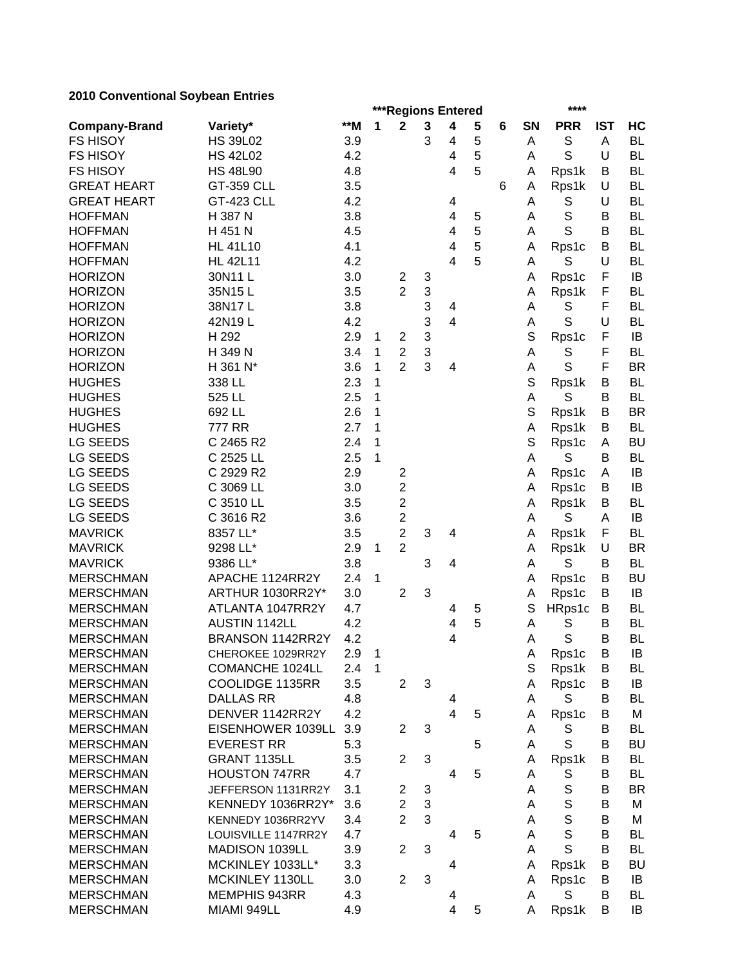| <b>CONVENTIONAL OUTSERVIT LIMITES</b> |                        |            |                |                |              | ***Regions Entered      | **** |   |             |             |            |           |
|---------------------------------------|------------------------|------------|----------------|----------------|--------------|-------------------------|------|---|-------------|-------------|------------|-----------|
| <b>Company-Brand</b>                  | Variety*               | $**M$      | 1              | $\mathbf 2$    | $\mathbf{3}$ | 4                       | 5    | 6 | SN          | <b>PRR</b>  | <b>IST</b> | HC        |
| <b>FS HISOY</b>                       | <b>HS 39L02</b>        | 3.9        |                |                | 3            | 4                       | 5    |   | A           | $\mathbb S$ | A          | <b>BL</b> |
| <b>FS HISOY</b>                       | <b>HS 42L02</b>        | 4.2        |                |                |              | 4                       | 5    |   | A           | S           | U          | <b>BL</b> |
| <b>FS HISOY</b>                       | <b>HS 48L90</b>        | 4.8        |                |                |              | 4                       | 5    |   | A           | Rps1k       | B          | <b>BL</b> |
| <b>GREAT HEART</b>                    | GT-359 CLL             | 3.5        |                |                |              |                         |      | 6 | A           | Rps1k       | U          | <b>BL</b> |
| <b>GREAT HEART</b>                    | <b>GT-423 CLL</b>      | 4.2        |                |                |              | 4                       |      |   | Α           | S           | U          | <b>BL</b> |
| <b>HOFFMAN</b>                        | H 387 N                | 3.8        |                |                |              | $\overline{\mathbf{4}}$ | 5    |   | Α           | $\mathsf S$ | В          | <b>BL</b> |
| <b>HOFFMAN</b>                        | H 451 N                | 4.5        |                |                |              | 4                       | 5    |   | A           | S           | B          | <b>BL</b> |
| <b>HOFFMAN</b>                        | <b>HL 41L10</b>        | 4.1        |                |                |              | 4                       | 5    |   | A           | Rps1c       | В          | <b>BL</b> |
| <b>HOFFMAN</b>                        | <b>HL 42L11</b>        | 4.2        |                |                |              | 4                       | 5    |   | A           | S           | U          | <b>BL</b> |
| <b>HORIZON</b>                        | 30N11L                 | 3.0        |                | $\overline{2}$ | 3            |                         |      |   | A           | Rps1c       | F          | IB        |
| <b>HORIZON</b>                        | 35N15L                 | 3.5        |                | $\overline{2}$ | 3            |                         |      |   | A           | Rps1k       | F          | <b>BL</b> |
| <b>HORIZON</b>                        | 38N17L                 | 3.8        |                |                | 3            | 4                       |      |   | A           | S           | F          | <b>BL</b> |
| <b>HORIZON</b>                        | 42N19L                 | 4.2        |                |                | 3            | 4                       |      |   | A           | S           | U          | <b>BL</b> |
| <b>HORIZON</b>                        | H 292                  | 2.9        | 1              | $\overline{2}$ | 3            |                         |      |   | $\mathbf S$ | Rps1c       | F          | IB        |
| <b>HORIZON</b>                        | H 349 N                | 3.4        | 1              | $\overline{2}$ | 3            |                         |      |   | Α           | $\mathbb S$ | F          | <b>BL</b> |
| <b>HORIZON</b>                        | H 361 N*               | 3.6        | 1              | $\overline{2}$ | 3            | 4                       |      |   | A           | $\mathbf S$ | F          | <b>BR</b> |
| <b>HUGHES</b>                         | 338 LL                 | 2.3        | 1              |                |              |                         |      |   | $\mathbb S$ | Rps1k       | В          | <b>BL</b> |
| <b>HUGHES</b>                         | 525 LL                 | 2.5        | 1              |                |              |                         |      |   | A           | S           | B          | <b>BL</b> |
| <b>HUGHES</b>                         | 692 LL                 | 2.6        | 1              |                |              |                         |      |   | S           | Rps1k       | В          | <b>BR</b> |
| <b>HUGHES</b>                         | <b>777 RR</b>          | 2.7        | 1              |                |              |                         |      |   | A           | Rps1k       | B          | <b>BL</b> |
| <b>LG SEEDS</b>                       | C 2465 R2              | 2.4        | 1              |                |              |                         |      |   | S           | Rps1c       | A          | <b>BU</b> |
| <b>LG SEEDS</b>                       | C 2525 LL              | 2.5        | 1              |                |              |                         |      |   | Α           | S           | В          | <b>BL</b> |
| <b>LG SEEDS</b>                       | C 2929 R2              | 2.9        |                | $\overline{2}$ |              |                         |      |   | A           | Rps1c       | A          | IB        |
| <b>LG SEEDS</b>                       | C 3069 LL              | 3.0        |                | $\overline{2}$ |              |                         |      |   | A           | Rps1c       | B          | IB        |
| <b>LG SEEDS</b>                       | C 3510 LL              | 3.5        |                | $\overline{2}$ |              |                         |      |   | A           | Rps1k       | B          | <b>BL</b> |
| <b>LG SEEDS</b>                       | C 3616 R2              | 3.6        |                | $\overline{2}$ |              |                         |      |   | A           | S           | A          | IB        |
| <b>MAVRICK</b>                        | 8357 LL*               | 3.5        |                | $\overline{2}$ | 3            | 4                       |      |   | A           | Rps1k       | F          | <b>BL</b> |
| <b>MAVRICK</b>                        | 9298 LL*               | 2.9        | 1              | $\overline{2}$ |              |                         |      |   | A           | Rps1k       | U          | <b>BR</b> |
| <b>MAVRICK</b>                        | 9386 LL*               | 3.8        |                |                | 3            | 4                       |      |   | Α           | S           | B          | <b>BL</b> |
| <b>MERSCHMAN</b>                      | APACHE 1124RR2Y        | 2.4        | 1              |                |              |                         |      |   | A           | Rps1c       | В          | <b>BU</b> |
| <b>MERSCHMAN</b>                      | ARTHUR 1030RR2Y*       | 3.0        |                | $\overline{2}$ | 3            |                         |      |   | A           | Rps1c       | В          | IB        |
| <b>MERSCHMAN</b>                      | ATLANTA 1047RR2Y       | 4.7        |                |                |              | 4                       | 5    |   | S           | HRps1c      | B          | <b>BL</b> |
| <b>MERSCHMAN</b>                      | <b>AUSTIN 1142LL</b>   | 4.2        |                |                |              | 4                       | 5    |   | A           | S           | B          | <b>BL</b> |
| <b>MERSCHMAN</b>                      | BRANSON 1142RR2Y       | 4.2        |                |                |              | $\overline{4}$          |      |   | Α           | $\mathbf S$ | B          | <b>BL</b> |
| <b>MERSCHMAN</b>                      | CHEROKEE 1029RR2Y      |            | $\overline{1}$ |                |              |                         |      |   |             | Rps1c       |            | IB        |
| <b>MERSCHMAN</b>                      | <b>COMANCHE 1024LL</b> | 2.9<br>2.4 | 1              |                |              |                         |      |   | A<br>S      |             | В          |           |
| <b>MERSCHMAN</b>                      | COOLIDGE 1135RR        | 3.5        |                | $\overline{2}$ | 3            |                         |      |   | A           | Rps1k       | В<br>B     | BL<br>IB  |
| <b>MERSCHMAN</b>                      | <b>DALLAS RR</b>       | 4.8        |                |                |              |                         |      |   | A           | Rps1c<br>S  | B          | BL        |
| <b>MERSCHMAN</b>                      | DENVER 1142RR2Y        | 4.2        |                |                |              | 4<br>$\overline{4}$     |      |   |             |             |            |           |
|                                       |                        |            |                |                |              |                         | 5    |   | A           | Rps1c       | B          | M         |
| <b>MERSCHMAN</b>                      | EISENHOWER 1039LL      | 3.9        |                | $\overline{2}$ | 3            |                         |      |   | A           | S           | В          | <b>BL</b> |
| <b>MERSCHMAN</b>                      | <b>EVEREST RR</b>      | 5.3        |                |                |              |                         | 5    |   | A           | $\mathsf S$ | B          | <b>BU</b> |
| <b>MERSCHMAN</b>                      | GRANT 1135LL           | 3.5        |                | $\overline{2}$ | 3            |                         |      |   | Α           | Rps1k       | B          | BL        |
| <b>MERSCHMAN</b>                      | <b>HOUSTON 747RR</b>   | 4.7        |                |                |              | 4                       | 5    |   | A           | S           | B          | BL        |
| <b>MERSCHMAN</b>                      | JEFFERSON 1131RR2Y     | 3.1        |                | 2              | 3            |                         |      |   | A           | S           | B          | <b>BR</b> |
| <b>MERSCHMAN</b>                      | KENNEDY 1036RR2Y*      | 3.6        |                | $\overline{2}$ | $\sqrt{3}$   |                         |      |   | A           | S           | B          | M         |
| <b>MERSCHMAN</b>                      | KENNEDY 1036RR2YV      | 3.4        |                | $\overline{2}$ | 3            |                         |      |   | A           | $\mathbb S$ | В          | M         |
| <b>MERSCHMAN</b>                      | LOUISVILLE 1147RR2Y    | 4.7        |                |                |              | 4                       | 5    |   | A           | $\mathsf S$ | В          | BL        |
| <b>MERSCHMAN</b>                      | MADISON 1039LL         | 3.9        |                | $\overline{2}$ | 3            |                         |      |   | A           | S           | B          | BL        |
| <b>MERSCHMAN</b>                      | MCKINLEY 1033LL*       | 3.3        |                |                |              | 4                       |      |   | Α           | Rps1k       | B          | <b>BU</b> |
| <b>MERSCHMAN</b>                      | MCKINLEY 1130LL        | 3.0        |                | $\overline{2}$ | 3            |                         |      |   | Α           | Rps1c       | B          | IB        |
| <b>MERSCHMAN</b>                      | <b>MEMPHIS 943RR</b>   | 4.3        |                |                |              | 4                       |      |   | A           | S           | В          | BL        |
| <b>MERSCHMAN</b>                      | MIAMI 949LL            | 4.9        |                |                |              | $\overline{\mathbf{4}}$ | 5    |   | A           | Rps1k       | B          | IB        |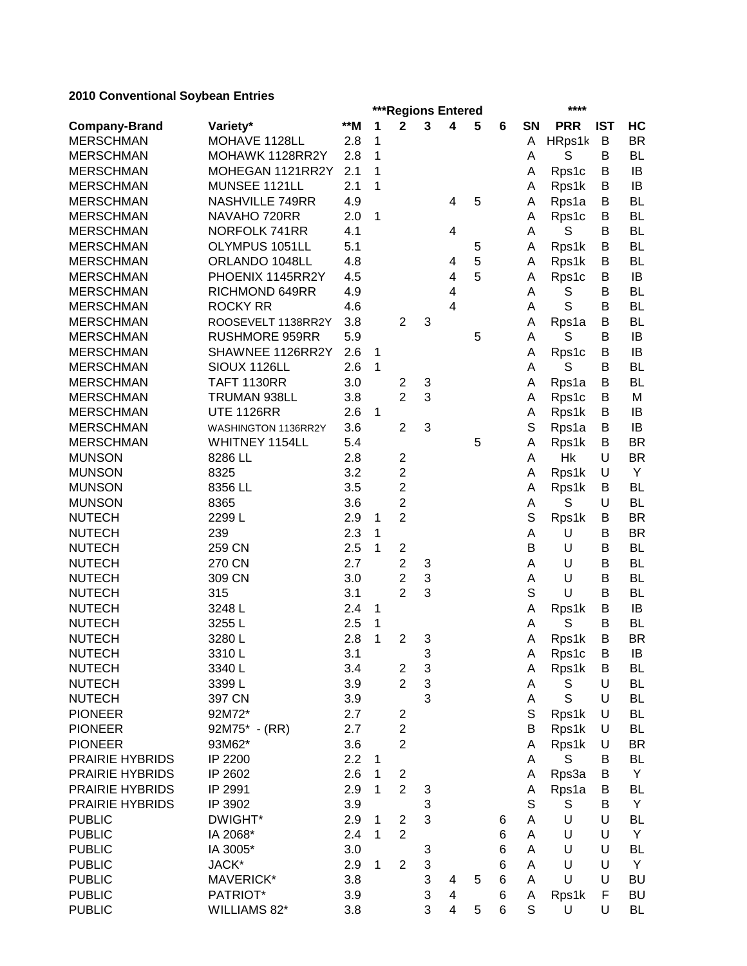| zu iu Conventional Obybean Entries |                       |       |              | ****<br>***Regions Entered |              |                         |   |                 |             |             |            |           |
|------------------------------------|-----------------------|-------|--------------|----------------------------|--------------|-------------------------|---|-----------------|-------------|-------------|------------|-----------|
| <b>Company-Brand</b>               | Variety*              | $*$ M | 1            | $\mathbf{2}$               | $\mathbf{3}$ | 4                       | 5 | 6               | SN          | <b>PRR</b>  | <b>IST</b> | HC        |
| <b>MERSCHMAN</b>                   | MOHAVE 1128LL         | 2.8   | 1            |                            |              |                         |   |                 | A           | HRps1k      | B          | <b>BR</b> |
| <b>MERSCHMAN</b>                   | MOHAWK 1128RR2Y       | 2.8   | 1            |                            |              |                         |   |                 | A           | S           | B          | BL        |
| <b>MERSCHMAN</b>                   | MOHEGAN 1121RR2Y      | 2.1   | 1            |                            |              |                         |   |                 | A           | Rps1c       | B          | IB        |
| <b>MERSCHMAN</b>                   | MUNSEE 1121LL         | 2.1   | 1            |                            |              |                         |   |                 | Α           | Rps1k       | B          | IB        |
| <b>MERSCHMAN</b>                   | NASHVILLE 749RR       | 4.9   |              |                            |              | 4                       | 5 |                 | A           | Rps1a       | B          | <b>BL</b> |
| <b>MERSCHMAN</b>                   | NAVAHO 720RR          | 2.0   | 1            |                            |              |                         |   |                 | A           | Rps1c       | B          | <b>BL</b> |
| <b>MERSCHMAN</b>                   | NORFOLK 741RR         | 4.1   |              |                            |              | 4                       |   |                 | A           | S           | B          | <b>BL</b> |
| <b>MERSCHMAN</b>                   | OLYMPUS 1051LL        | 5.1   |              |                            |              |                         | 5 |                 | A           | Rps1k       | B          | <b>BL</b> |
| <b>MERSCHMAN</b>                   | ORLANDO 1048LL        | 4.8   |              |                            |              | 4                       | 5 |                 | A           | Rps1k       | B          | <b>BL</b> |
| <b>MERSCHMAN</b>                   | PHOENIX 1145RR2Y      | 4.5   |              |                            |              | 4                       | 5 |                 | A           | Rps1c       | B          | IB        |
| <b>MERSCHMAN</b>                   | RICHMOND 649RR        | 4.9   |              |                            |              | 4                       |   |                 | Α           | S           | B          | <b>BL</b> |
| <b>MERSCHMAN</b>                   | <b>ROCKY RR</b>       | 4.6   |              |                            |              | $\overline{4}$          |   |                 | Α           | S           | B          | <b>BL</b> |
| <b>MERSCHMAN</b>                   | ROOSEVELT 1138RR2Y    | 3.8   |              | $\overline{2}$             | 3            |                         |   |                 | A           | Rps1a       | B          | <b>BL</b> |
| <b>MERSCHMAN</b>                   | <b>RUSHMORE 959RR</b> | 5.9   |              |                            |              |                         | 5 |                 | A           | S           | B          | IB        |
| <b>MERSCHMAN</b>                   | SHAWNEE 1126RR2Y      | 2.6   | 1            |                            |              |                         |   |                 | A           | Rps1c       | B          | IB        |
| <b>MERSCHMAN</b>                   | SIOUX 1126LL          | 2.6   | 1            |                            |              |                         |   |                 | A           | S           | B          | <b>BL</b> |
| <b>MERSCHMAN</b>                   | <b>TAFT 1130RR</b>    | 3.0   |              | $\overline{2}$             | 3            |                         |   |                 | A           | Rps1a       | B          | <b>BL</b> |
| <b>MERSCHMAN</b>                   | TRUMAN 938LL          | 3.8   |              | $\overline{2}$             | 3            |                         |   |                 | A           | Rps1c       | B          | M         |
| <b>MERSCHMAN</b>                   | <b>UTE 1126RR</b>     | 2.6   | $\mathbf{1}$ |                            |              |                         |   |                 | A           | Rps1k       | B          | IB        |
| <b>MERSCHMAN</b>                   | WASHINGTON 1136RR2Y   | 3.6   |              | $\overline{2}$             | 3            |                         |   |                 | S           | Rps1a       | B          | IB        |
| <b>MERSCHMAN</b>                   | WHITNEY 1154LL        | 5.4   |              |                            |              |                         | 5 |                 | A           | Rps1k       | B          | <b>BR</b> |
| <b>MUNSON</b>                      | 8286 LL               | 2.8   |              | $\boldsymbol{2}$           |              |                         |   |                 | Α           | Hk          | U          | <b>BR</b> |
| <b>MUNSON</b>                      | 8325                  | 3.2   |              | $\overline{c}$             |              |                         |   |                 | A           | Rps1k       | U          | Y         |
| <b>MUNSON</b>                      | 8356 LL               | 3.5   |              | $\overline{2}$             |              |                         |   |                 | A           | Rps1k       | B          | <b>BL</b> |
| <b>MUNSON</b>                      | 8365                  | 3.6   |              | $\overline{c}$             |              |                         |   |                 | A           | S           | U          | <b>BL</b> |
| <b>NUTECH</b>                      | 2299L                 | 2.9   | 1            | $\overline{2}$             |              |                         |   |                 | S           | Rps1k       | B          | <b>BR</b> |
| <b>NUTECH</b>                      | 239                   | 2.3   | 1            |                            |              |                         |   |                 | Α           | U           | B          | <b>BR</b> |
| <b>NUTECH</b>                      | 259 CN                | 2.5   | 1            | $\boldsymbol{2}$           |              |                         |   |                 | B           | U           | B          | <b>BL</b> |
| <b>NUTECH</b>                      | 270 CN                | 2.7   |              | $\overline{c}$             | 3            |                         |   |                 | Α           | U           | B          | <b>BL</b> |
| <b>NUTECH</b>                      | 309 CN                | 3.0   |              | $\overline{c}$             | 3            |                         |   |                 | A           | U           | B          | <b>BL</b> |
| <b>NUTECH</b>                      | 315                   | 3.1   |              | $\overline{2}$             | 3            |                         |   |                 | S           | U           | B          | <b>BL</b> |
| <b>NUTECH</b>                      | 3248L                 | 2.4   | 1            |                            |              |                         |   |                 | A           | Rps1k       | B          | IB        |
| <b>NUTECH</b>                      | 3255L                 | 2.5   | 1            |                            |              |                         |   |                 | A           | S           | B          | <b>BL</b> |
| <b>NUTECH</b>                      | 3280L                 | 2.8   | 1            | $\overline{c}$             | 3            |                         |   |                 | Α           | Rps1k       | B          | <b>BR</b> |
| <b>NUTECH</b>                      | 3310L                 | 3.1   |              |                            | 3            |                         |   |                 | A           | Rps1c       | В          | IB        |
| <b>NUTECH</b>                      | 3340L                 | 3.4   |              | $\overline{\mathbf{c}}$    | 3            |                         |   |                 | Α           | Rps1k       | B          | BL        |
| <b>NUTECH</b>                      | 3399L                 | 3.9   |              | $\overline{2}$             | 3            |                         |   |                 | A           | S           | U          | <b>BL</b> |
| <b>NUTECH</b>                      | 397 CN                | 3.9   |              |                            | 3            |                         |   |                 | Α           | $\mathbf S$ | U          | BL        |
| <b>PIONEER</b>                     | 92M72*                | 2.7   |              | $\overline{\mathbf{c}}$    |              |                         |   |                 | $\mathbb S$ | Rps1k       | U          | BL        |
| <b>PIONEER</b>                     | 92M75* - (RR)         | 2.7   |              | $\overline{c}$             |              |                         |   |                 | B           | Rps1k       | U          | BL        |
| <b>PIONEER</b>                     | 93M62*                | 3.6   |              | $\overline{2}$             |              |                         |   |                 | A           | Rps1k       | U          | BR        |
| PRAIRIE HYBRIDS                    | IP 2200               | 2.2   | 1            |                            |              |                         |   |                 | A           | S           | B          | BL        |
| PRAIRIE HYBRIDS                    | IP 2602               | 2.6   | $\mathbf 1$  | $\overline{c}$             |              |                         |   |                 | Α           | Rps3a       | B          | Y         |
| PRAIRIE HYBRIDS                    | IP 2991               | 2.9   | 1            | $\overline{2}$             | 3            |                         |   |                 | Α           | Rps1a       | В          | BL        |
| PRAIRIE HYBRIDS                    | IP 3902               | 3.9   |              |                            | 3            |                         |   |                 | $\mathbb S$ | S           | В          | Y         |
| <b>PUBLIC</b>                      | DWIGHT*               | 2.9   | 1            | 2                          | 3            |                         |   | 6               | A           | U           | U          | <b>BL</b> |
| <b>PUBLIC</b>                      | IA 2068*              | 2.4   | 1            | $\overline{2}$             |              |                         |   | 6               | A           | U           | U          | Y         |
| <b>PUBLIC</b>                      | IA 3005*              | 3.0   |              |                            | 3            |                         |   | 6               | A           | U           | U          | BL        |
| <b>PUBLIC</b>                      | JACK*                 | 2.9   | 1            | $\overline{2}$             | 3            |                         |   | 6               | A           | U           | U          | Y         |
| <b>PUBLIC</b>                      | MAVERICK*             | 3.8   |              |                            | 3            | 4                       | 5 | $\,6$           | A           | U           | U          | <b>BU</b> |
| <b>PUBLIC</b>                      | PATRIOT*              | 3.9   |              |                            | 3            | 4                       |   | 6               | A           | Rps1k       | F          | BU        |
| <b>PUBLIC</b>                      | WILLIAMS 82*          | 3.8   |              |                            | 3            | $\overline{\mathbf{4}}$ | 5 | $6\phantom{1}6$ | $\mathbb S$ | U           | U          | BL        |